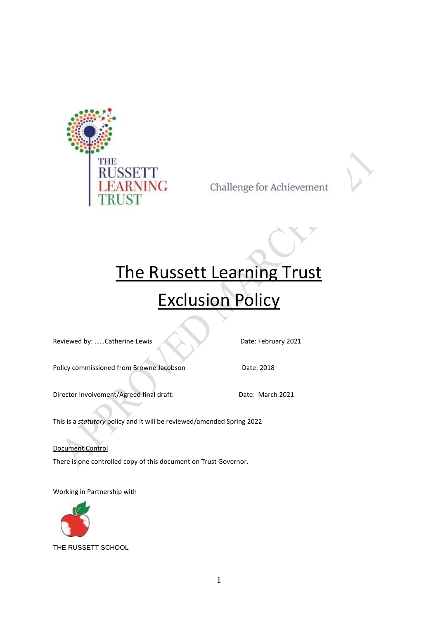

Challenge for Achievement

# The Russett Learning Trust Exclusion Policy

Reviewed by: ......Catherine Lewis Date: February 2021

Policy commissioned from Browne Jacobson Date: 2018

Director Involvement/Agreed final draft: Date: March 2021

This is a *statutory* policy and it will be reviewed/amended Spring 2022

Document Control

There is one controlled copy of this document on Trust Governor.

Working in Partnership with



THE RUSSETT SCHOOL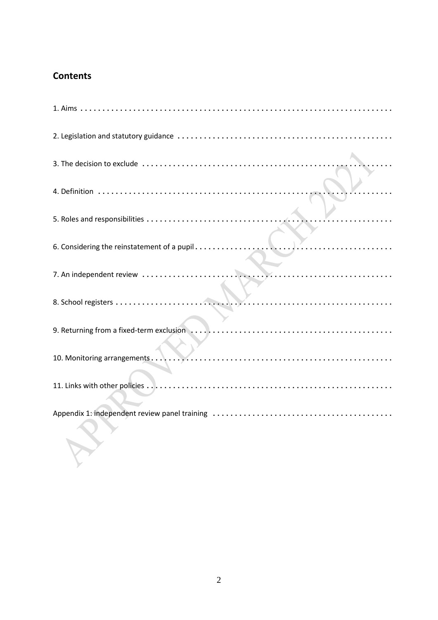# **Contents**

 $\mathcal{E}$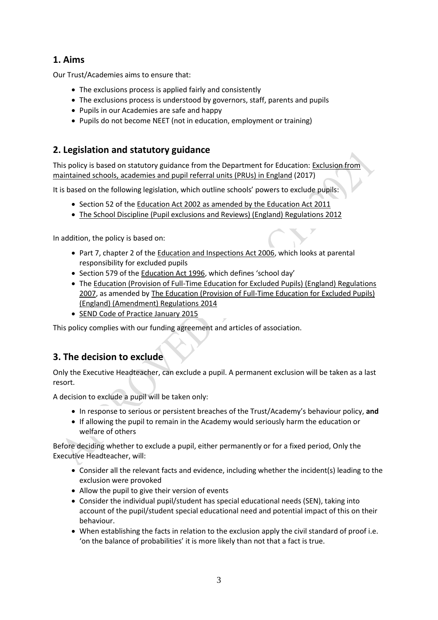## **1. Aims**

Our Trust/Academies aims to ensure that:

- The exclusions process is applied fairly and consistently
- The exclusions process is understood by governors, staff, parents and pupils
- Pupils in our Academies are safe and happy
- Pupils do not become NEET (not in education, employment or training)

## **2. Legislation and statutory guidance**

This policy is based on statutory guidance from the Department for Education: [Exclusion from](https://www.gov.uk/government/publications/school-exclusion)  [maintained schools, academies and pupil referral units \(PRUs\) in](https://www.gov.uk/government/publications/school-exclusion) England (2017)

It is based on the following legislation, which outline schools' powers to exclude pupils:

- Section 52 of the [Education Act 2002](http://www.legislation.gov.uk/ukpga/2002/32/section/52) as amended by the Education Act 2011
- [The School Discipline \(Pupil exclusions and Reviews\) \(England\) Regulations 2012](http://www.legislation.gov.uk/uksi/2012/1033/made)

In addition, the policy is based on:

- Part 7, chapter 2 of the [Education and Inspections Act 2006,](http://www.legislation.gov.uk/ukpga/2006/40/part/7/chapter/2) which looks at parental responsibility for excluded pupils
- Section 579 of th[e Education Act 1996](http://www.legislation.gov.uk/ukpga/1996/56/section/579), which defines 'school day'
- The [Education \(Provision of Full-Time Education for Excluded Pupils\) \(England\) Regulations](http://www.legislation.gov.uk/uksi/2007/1870/contents/made)  [2007,](http://www.legislation.gov.uk/uksi/2007/1870/contents/made) as amended by The Education (Provision of Full-Time Education for Excluded Pupils) (England) (Amendment) Regulations 2014
- SEND Code of Practice January 2015

This policy complies with our funding agreement and articles of association.

## **3. The decision to exclude**

Only the Executive Headteacher, can exclude a pupil. A permanent exclusion will be taken as a last resort.

A decision to exclude a pupil will be taken only:

- In response to serious or persistent breaches of the Trust/Academy's behaviour policy, **and**
- If allowing the pupil to remain in the Academy would seriously harm the education or welfare of others

Before deciding whether to exclude a pupil, either permanently or for a fixed period, Only the Executive Headteacher, will:

- Consider all the relevant facts and evidence, including whether the incident(s) leading to the exclusion were provoked
- Allow the pupil to give their version of events
- Consider the individual pupil/student has special educational needs (SEN), taking into account of the pupil/student special educational need and potential impact of this on their behaviour.
- When establishing the facts in relation to the exclusion apply the civil standard of proof i.e. 'on the balance of probabilities' it is more likely than not that a fact is true.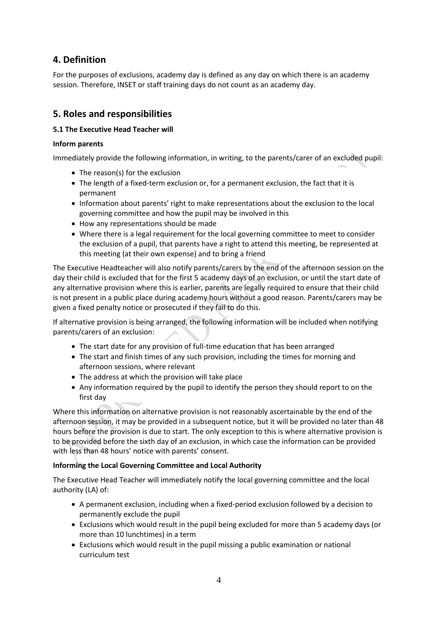## **4. Definition**

For the purposes of exclusions, academy day is defined as any day on which there is an academy session. Therefore, INSET or staff training days do not count as an academy day.

## **5. Roles and responsibilities**

#### **5.1 The Executive Head Teacher will**

#### **Inform parents**

Immediately provide the following information, in writing, to the parents/carer of an excluded pupil:

- The reason(s) for the exclusion
- The length of a fixed-term exclusion or, for a permanent exclusion, the fact that it is permanent
- Information about parents' right to make representations about the exclusion to the local governing committee and how the pupil may be involved in this
- How any representations should be made
- Where there is a legal requirement for the local governing committee to meet to consider the exclusion of a pupil, that parents have a right to attend this meeting, be represented at this meeting (at their own expense) and to bring a friend

The Executive Headteacher will also notify parents/carers by the end of the afternoon session on the day their child is excluded that for the first 5 academy days of an exclusion, or until the start date of any alternative provision where this is earlier, parents are legally required to ensure that their child is not present in a public place during academy hours without a good reason. Parents/carers may be given a fixed penalty notice or prosecuted if they fail to do this.

If alternative provision is being arranged, the following information will be included when notifying parents/carers of an exclusion:

- The start date for any provision of full-time education that has been arranged
- The start and finish times of any such provision, including the times for morning and afternoon sessions, where relevant
- The address at which the provision will take place
- Any information required by the pupil to identify the person they should report to on the first day

Where this information on alternative provision is not reasonably ascertainable by the end of the afternoon session, it may be provided in a subsequent notice, but it will be provided no later than 48 hours before the provision is due to start. The only exception to this is where alternative provision is to be provided before the sixth day of an exclusion, in which case the information can be provided with less than 48 hours' notice with parents' consent.

#### **Informing the Local Governing Committee and Local Authority**

The Executive Head Teacher will immediately notify the local governing committee and the local authority (LA) of:

- A permanent exclusion, including when a fixed-period exclusion followed by a decision to permanently exclude the pupil
- Exclusions which would result in the pupil being excluded for more than 5 academy days (or more than 10 lunchtimes) in a term
- Exclusions which would result in the pupil missing a public examination or national curriculum test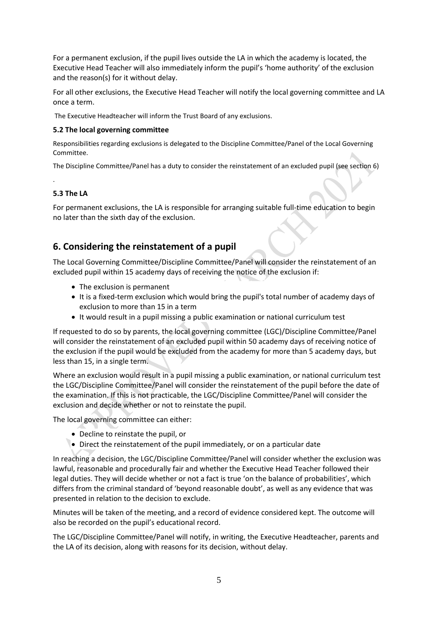For a permanent exclusion, if the pupil lives outside the LA in which the academy is located, the Executive Head Teacher will also immediately inform the pupil's 'home authority' of the exclusion and the reason(s) for it without delay.

For all other exclusions, the Executive Head Teacher will notify the local governing committee and LA once a term.

The Executive Headteacher will inform the Trust Board of any exclusions.

#### **5.2 The local governing committee**

Responsibilities regarding exclusions is delegated to the Discipline Committee/Panel of the Local Governing Committee.

The Discipline Committee/Panel has a duty to consider the reinstatement of an excluded pupil (see section 6)

#### **5.3 The LA**

.

For permanent exclusions, the LA is responsible for arranging suitable full-time education to begin no later than the sixth day of the exclusion.

## **6. Considering the reinstatement of a pupil**

The Local Governing Committee/Discipline Committee/Panel will consider the reinstatement of an excluded pupil within 15 academy days of receiving the notice of the exclusion if:

- The exclusion is permanent
- It is a fixed-term exclusion which would bring the pupil's total number of academy days of exclusion to more than 15 in a term
- It would result in a pupil missing a public examination or national curriculum test

If requested to do so by parents, the local governing committee (LGC)/Discipline Committee/Panel will consider the reinstatement of an excluded pupil within 50 academy days of receiving notice of the exclusion if the pupil would be excluded from the academy for more than 5 academy days, but less than 15, in a single term.

Where an exclusion would result in a pupil missing a public examination, or national curriculum test the LGC/Discipline Committee/Panel will consider the reinstatement of the pupil before the date of the examination. If this is not practicable, the LGC/Discipline Committee/Panel will consider the exclusion and decide whether or not to reinstate the pupil.

The local governing committee can either:

- Decline to reinstate the pupil, or
- Direct the reinstatement of the pupil immediately, or on a particular date

In reaching a decision, the LGC/Discipline Committee/Panel will consider whether the exclusion was lawful, reasonable and procedurally fair and whether the Executive Head Teacher followed their legal duties. They will decide whether or not a fact is true 'on the balance of probabilities', which differs from the criminal standard of 'beyond reasonable doubt', as well as any evidence that was presented in relation to the decision to exclude.

Minutes will be taken of the meeting, and a record of evidence considered kept. The outcome will also be recorded on the pupil's educational record.

The LGC/Discipline Committee/Panel will notify, in writing, the Executive Headteacher, parents and the LA of its decision, along with reasons for its decision, without delay.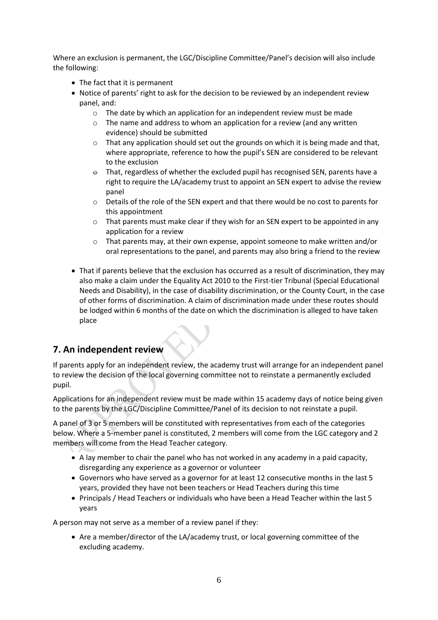Where an exclusion is permanent, the LGC/Discipline Committee/Panel's decision will also include the following:

- The fact that it is permanent
- Notice of parents' right to ask for the decision to be reviewed by an independent review panel, and:
	- $\circ$  The date by which an application for an independent review must be made
	- o The name and address to whom an application for a review (and any written evidence) should be submitted
	- $\circ$  That any application should set out the grounds on which it is being made and that, where appropriate, reference to how the pupil's SEN are considered to be relevant to the exclusion
	- $\Theta$  That, regardless of whether the excluded pupil has recognised SEN, parents have a right to require the LA/academy trust to appoint an SEN expert to advise the review panel
	- o Details of the role of the SEN expert and that there would be no cost to parents for this appointment
	- $\circ$  That parents must make clear if they wish for an SEN expert to be appointed in any application for a review
	- $\circ$  That parents may, at their own expense, appoint someone to make written and/or oral representations to the panel, and parents may also bring a friend to the review
- That if parents believe that the exclusion has occurred as a result of discrimination, they may also make a claim under the Equality Act 2010 to the First-tier Tribunal (Special Educational Needs and Disability), in the case of disability discrimination, or the County Court, in the case of other forms of discrimination. A claim of discrimination made under these routes should be lodged within 6 months of the date on which the discrimination is alleged to have taken place

## **7. An independent review**

If parents apply for an independent review, the academy trust will arrange for an independent panel to review the decision of the local governing committee not to reinstate a permanently excluded pupil.

Applications for an independent review must be made within 15 academy days of notice being given to the parents by the LGC/Discipline Committee/Panel of its decision to not reinstate a pupil.

A panel of 3 or 5 members will be constituted with representatives from each of the categories below. Where a 5-member panel is constituted, 2 members will come from the LGC category and 2 members will come from the Head Teacher category.

- A lay member to chair the panel who has not worked in any academy in a paid capacity, disregarding any experience as a governor or volunteer
- Governors who have served as a governor for at least 12 consecutive months in the last 5 years, provided they have not been teachers or Head Teachers during this time
- Principals / Head Teachers or individuals who have been a Head Teacher within the last 5 years

A person may not serve as a member of a review panel if they:

• Are a member/director of the LA/academy trust, or local governing committee of the excluding academy.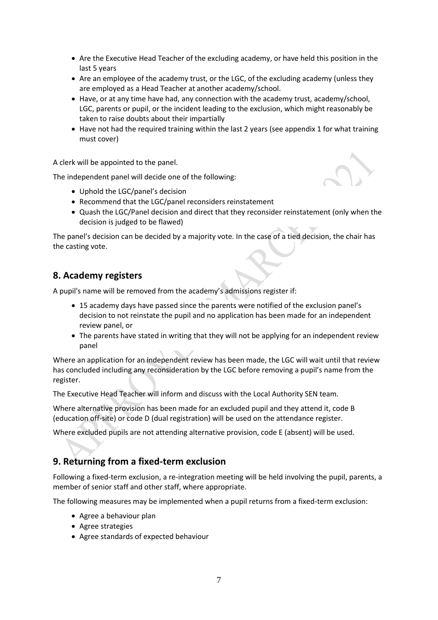- Are the Executive Head Teacher of the excluding academy, or have held this position in the last 5 years
- Are an employee of the academy trust, or the LGC, of the excluding academy (unless they are employed as a Head Teacher at another academy/school.
- Have, or at any time have had, any connection with the academy trust, academy/school, LGC, parents or pupil, or the incident leading to the exclusion, which might reasonably be taken to raise doubts about their impartially
- Have not had the required training within the last 2 years (see appendix 1 for what training must cover)

A clerk will be appointed to the panel.

The independent panel will decide one of the following:

- Uphold the LGC/panel's decision
- Recommend that the LGC/panel reconsiders reinstatement
- Quash the LGC/Panel decision and direct that they reconsider reinstatement (only when the decision is judged to be flawed)

The panel's decision can be decided by a majority vote. In the case of a tied decision, the chair has the casting vote.

## **8. Academy registers**

A pupil's name will be removed from the academy's admissions register if:

- 15 academy days have passed since the parents were notified of the exclusion panel's decision to not reinstate the pupil and no application has been made for an independent review panel, or
- The parents have stated in writing that they will not be applying for an independent review panel

Where an application for an independent review has been made, the LGC will wait until that review has concluded including any reconsideration by the LGC before removing a pupil's name from the register.

The Executive Head Teacher will inform and discuss with the Local Authority SEN team.

Where alternative provision has been made for an excluded pupil and they attend it, code B (education off-site) or code D (dual registration) will be used on the attendance register.

Where excluded pupils are not attending alternative provision, code E (absent) will be used.

## **9. Returning from a fixed-term exclusion**

Following a fixed-term exclusion, a re-integration meeting will be held involving the pupil, parents, a member of senior staff and other staff, where appropriate.

The following measures may be implemented when a pupil returns from a fixed-term exclusion:

- Agree a behaviour plan
- Agree strategies
- Agree standards of expected behaviour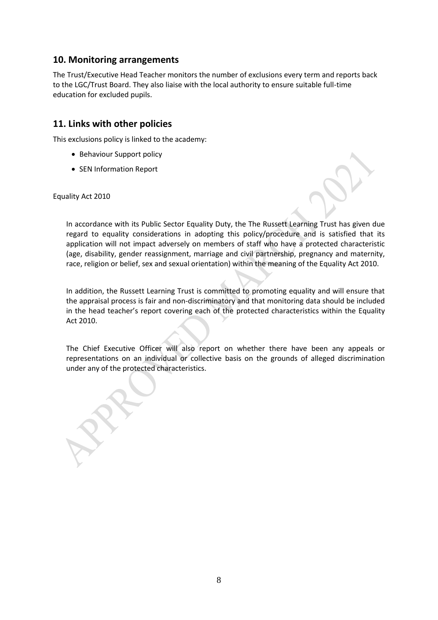## **10. Monitoring arrangements**

The Trust/Executive Head Teacher monitors the number of exclusions every term and reports back to the LGC/Trust Board. They also liaise with the local authority to ensure suitable full-time education for excluded pupils.

## **11. Links with other policies**

This exclusions policy is linked to the academy:

- Behaviour Support policy
- SEN Information Report

Equality Act 2010

In accordance with its Public Sector Equality Duty, the The Russett Learning Trust has given due regard to equality considerations in adopting this policy/procedure and is satisfied that its application will not impact adversely on members of staff who have a protected characteristic (age, disability, gender reassignment, marriage and civil partnership, pregnancy and maternity, race, religion or belief, sex and sexual orientation) within the meaning of the Equality Act 2010.

In addition, the Russett Learning Trust is committed to promoting equality and will ensure that the appraisal process is fair and non-discriminatory and that monitoring data should be included in the head teacher's report covering each of the protected characteristics within the Equality Act 2010.

The Chief Executive Officer will also report on whether there have been any appeals or representations on an individual or collective basis on the grounds of alleged discrimination under any of the protected characteristics.